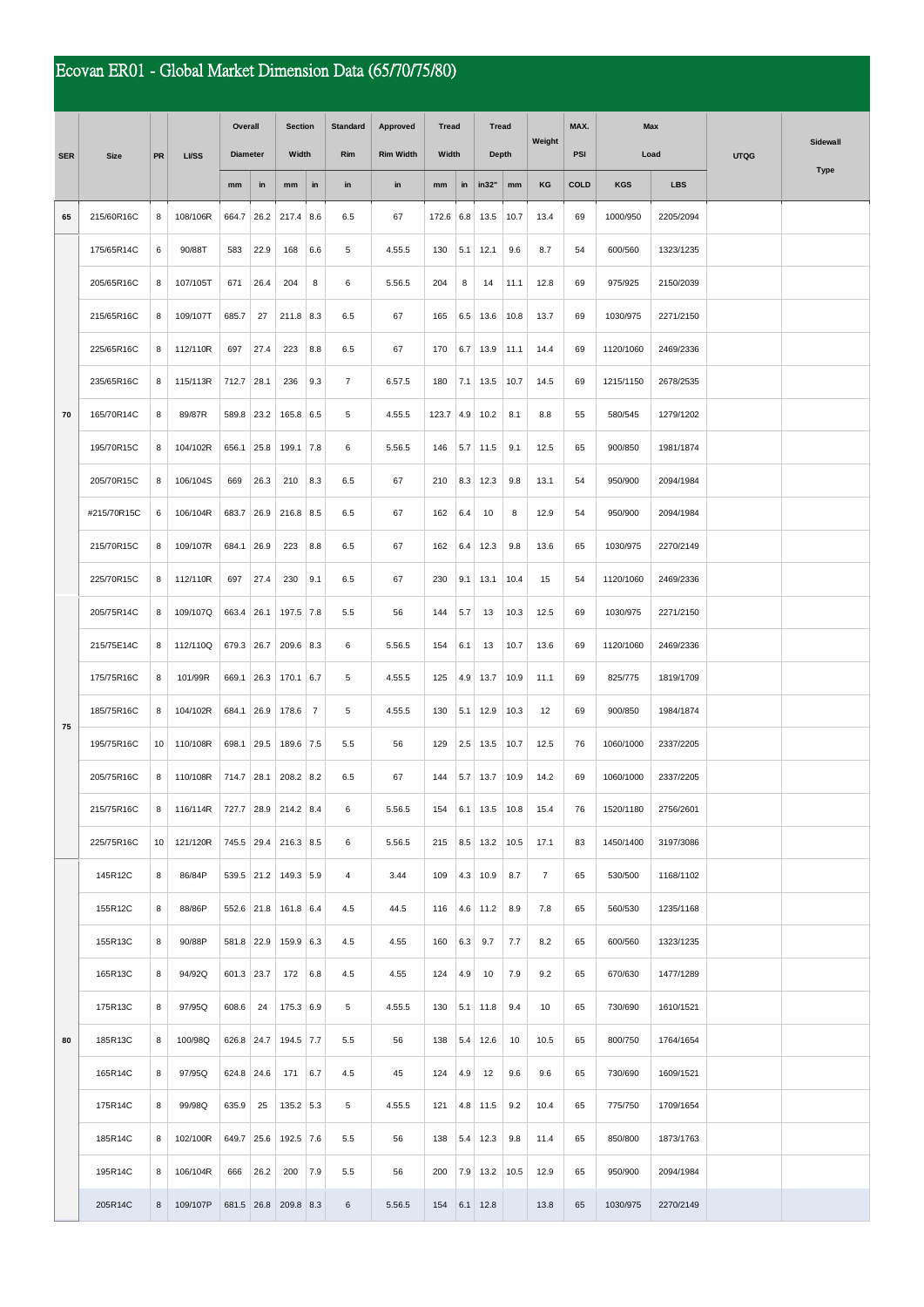## Ecovan ER01 - Global Market Dimension Data (65/70/75/80)

|            | <b>Size</b> | PR              | <b>LVSS</b> | Overall         |      | <b>Section</b>       |                | <b>Standard</b> | Approved         | <b>Tread</b><br>Width |     | <b>Tread</b><br><b>Depth</b> |      | Weight         | MAX.        | Max        |            |             |          |
|------------|-------------|-----------------|-------------|-----------------|------|----------------------|----------------|-----------------|------------------|-----------------------|-----|------------------------------|------|----------------|-------------|------------|------------|-------------|----------|
| <b>SER</b> |             |                 |             | <b>Diameter</b> |      | Width                |                | Rim             | <b>Rim Width</b> |                       |     |                              |      |                | <b>PSI</b>  |            | Load       | <b>UTQG</b> | Sidewall |
|            |             |                 |             | mm              | in   | mm                   | in             | in              | in               | mm                    | in  | in32"                        | mm   | ΚG             | <b>COLD</b> | <b>KGS</b> | <b>LBS</b> |             | Type     |
| 65<br>70   | 215/60R16C  | 8               | 108/106R    | 664.7           | 26.2 | $217.4$ 8.6          |                | 6.5             | 67               | 172.6                 | 6.8 | 13.5                         | 10.7 | 13.4           | 69          | 1000/950   | 2205/2094  |             |          |
|            | 175/65R14C  | 6               | 90/88T      | 583             | 22.9 | 168                  | 6.6            | 5               | 4.55.5           | 130                   | 5.1 | 12.1                         | 9.6  | 8.7            | 54          | 600/560    | 1323/1235  |             |          |
|            | 205/65R16C  | 8               | 107/105T    | 671             | 26.4 | 204                  | 8              | 6               | 5.56.5           | 204                   | 8   | 14                           | 11.1 | 12.8           | 69          | 975/925    | 2150/2039  |             |          |
|            | 215/65R16C  | 8               | 109/107T    | 685.7           | 27   | $211.8$ 8.3          |                | 6.5             | 67               | 165                   | 6.5 | 13.6                         | 10.8 | 13.7           | 69          | 1030/975   | 2271/2150  |             |          |
|            | 225/65R16C  | 8               | 112/110R    | 697             | 27.4 | 223                  | 8.8            | 6.5             | 67               | 170                   | 6.7 | 13.9                         | 11.1 | 14.4           | 69          | 1120/1060  | 2469/2336  |             |          |
|            | 235/65R16C  | 8               | 115/113R    | 712.7           | 28.1 | 236                  | 9.3            | $\overline{7}$  | 6.57.5           | 180                   | 7.1 | 13.5                         | 10.7 | 14.5           | 69          | 1215/1150  | 2678/2535  |             |          |
|            | 165/70R14C  | 8               | 89/87R      | 589.8           | 23.2 | 165.8 6.5            |                | 5               | 4.55.5           | 123.7                 | 4.9 | 10.2                         | 8.1  | 8.8            | 55          | 580/545    | 1279/1202  |             |          |
|            | 195/70R15C  | 8               | 104/102R    | 656.1           | 25.8 | $199.1$ 7.8          |                | 6               | 5.56.5           | 146                   |     | $5.7$ 11.5                   | 9.1  | 12.5           | 65          | 900/850    | 1981/1874  |             |          |
|            | 205/70R15C  | 8               | 106/104S    | 669             | 26.3 | 210                  | 8.3            | 6.5             | 67               | 210                   | 8.3 | 12.3                         | 9.8  | 13.1           | 54          | 950/900    | 2094/1984  |             |          |
|            | #215/70R15C | 6               | 106/104R    | 683.7           | 26.9 | $216.8$ 8.5          |                | 6.5             | 67               | 162                   | 6.4 | 10                           | 8    | 12.9           | 54          | 950/900    | 2094/1984  |             |          |
|            | 215/70R15C  | 8               | 109/107R    | 684.1           | 26.9 | 223                  | 8.8            | 6.5             | 67               | 162                   | 6.4 | 12.3                         | 9.8  | 13.6           | 65          | 1030/975   | 2270/2149  |             |          |
|            | 225/70R15C  | 8               | 112/110R    | 697             | 27.4 | 230                  | 9.1            | 6.5             | 67               | 230                   | 9.1 | 13.1                         | 10.4 | 15             | 54          | 1120/1060  | 2469/2336  |             |          |
| 75         | 205/75R14C  | 8               | 109/107Q    | 663.4           | 26.1 | 197.5 7.8            |                | 5.5             | 56               | 144                   | 5.7 | 13                           | 10.3 | 12.5           | 69          | 1030/975   | 2271/2150  |             |          |
|            | 215/75E14C  | 8               | 112/110Q    | 679.3 26.7      |      | $209.6$ 8.3          |                | 6               | 5.56.5           | 154                   | 6.1 | 13                           | 10.7 | 13.6           | 69          | 1120/1060  | 2469/2336  |             |          |
|            | 175/75R16C  | 8               | 101/99R     | 669.1           | 26.3 | 170.1   6.7          |                | 5               | 4.55.5           | 125                   | 4.9 | 13.7                         | 10.9 | 11.1           | 69          | 825/775    | 1819/1709  |             |          |
|            | 185/75R16C  | 8               | 104/102R    | 684.1           | 26.9 | 178.6                | $\overline{7}$ | 5               | 4.55.5           | 130                   | 5.1 | 12.9                         | 10.3 | 12             | 69          | 900/850    | 1984/1874  |             |          |
|            | 195/75R16C  | 10              | 110/108R    | 698.1           | 29.5 | 189.6 7.5            |                | 5.5             | 56               | 129                   | 2.5 | 13.5                         | 10.7 | 12.5           | 76          | 1060/1000  | 2337/2205  |             |          |
|            | 205/75R16C  | 8               | 110/108R    | 714.7           | 28.1 | $208.2$ 8.2          |                | 6.5             | 67               | 144                   | 5.7 | 13.7                         | 10.9 | 14.2           | 69          | 1060/1000  | 2337/2205  |             |          |
|            | 215/75R16C  | 8               | 116/114R    |                 |      | 727.7 28.9 214.2 8.4 |                | 6               | 5.56.5           | 154                   |     | $6.1$ 13.5 10.8              |      | 15.4           | 76          | 1520/1180  | 2756/2601  |             |          |
|            | 225/75R16C  | 10 <sup>1</sup> | 121/120R    |                 |      | 745.5 29.4 216.3 8.5 |                | 6               | 5.56.5           | 215                   |     | $8.5$ 13.2 10.5              |      | 17.1           | 83          | 1450/1400  | 3197/3086  |             |          |
| 80         | 145R12C     | 8               | 86/84P      |                 |      | 539.5 21.2 149.3 5.9 |                | $\overline{4}$  | 3.44             | 109                   |     | $4.3$ 10.9                   | 8.7  | $\overline{7}$ | 65          | 530/500    | 1168/1102  |             |          |
|            | 155R12C     | 8               | 88/86P      |                 |      | 552.6 21.8 161.8 6.4 |                | 4.5             | 44.5             | 116                   |     | $4.6$ 11.2                   | 8.9  | 7.8            | 65          | 560/530    | 1235/1168  |             |          |
|            | 155R13C     | 8               | 90/88P      | 581.8 22.9      |      | $159.9$ 6.3          |                | 4.5             | 4.55             | 160                   | 6.3 | 9.7                          | 7.7  | 8.2            | 65          | 600/560    | 1323/1235  |             |          |
|            | 165R13C     | 8               | 94/92Q      | 601.3 23.7      |      | 172                  | 6.8            | 4.5             | 4.55             | 124                   | 4.9 | 10                           | 7.9  | 9.2            | 65          | 670/630    | 1477/1289  |             |          |
|            | 175R13C     | 8               | 97/95Q      | 608.6           | 24   | 175.3 6.9            |                | 5               | 4.55.5           | 130                   |     | $5.1$ 11.8                   | 9.4  | 10             | 65          | 730/690    | 1610/1521  |             |          |
|            | 185R13C     | 8               | 100/98Q     | 626.8 24.7      |      | 194.5 7.7            |                | 5.5             | 56               | 138                   |     | $5.4$ 12.6                   | 10   | 10.5           | 65          | 800/750    | 1764/1654  |             |          |
|            | 165R14C     | 8               | 97/95Q      | 624.8 24.6      |      | 171                  | 6.7            | 4.5             | 45               | 124                   | 4.9 | 12                           | 9.6  | 9.6            | 65          | 730/690    | 1609/1521  |             |          |
|            | 175R14C     | 8               | 99/98Q      | 635.9           | 25   | 135.2 5.3            |                | 5               | 4.55.5           | 121                   |     | $4.8$ 11.5                   | 9.2  | 10.4           | 65          | 775/750    | 1709/1654  |             |          |
|            | 185R14C     | 8               | 102/100R    | 649.7 25.6      |      | 192.5 7.6            |                | 5.5             | 56               | 138                   |     | $5.4$ 12.3                   | 9.8  | 11.4           | 65          | 850/800    | 1873/1763  |             |          |
|            | 195R14C     | 8               | 106/104R    | 666             | 26.2 | 200                  | 7.9            | 5.5             | 56               | 200                   |     | $7.9$ 13.2                   | 10.5 | 12.9           | 65          | 950/900    | 2094/1984  |             |          |
|            | 205R14C     | 8               | 109/107P    |                 |      | 681.5 26.8 209.8 8.3 |                | 6               | 5.56.5           | 154                   |     | $6.1$ 12.8                   |      | 13.8           | 65          | 1030/975   | 2270/2149  |             |          |